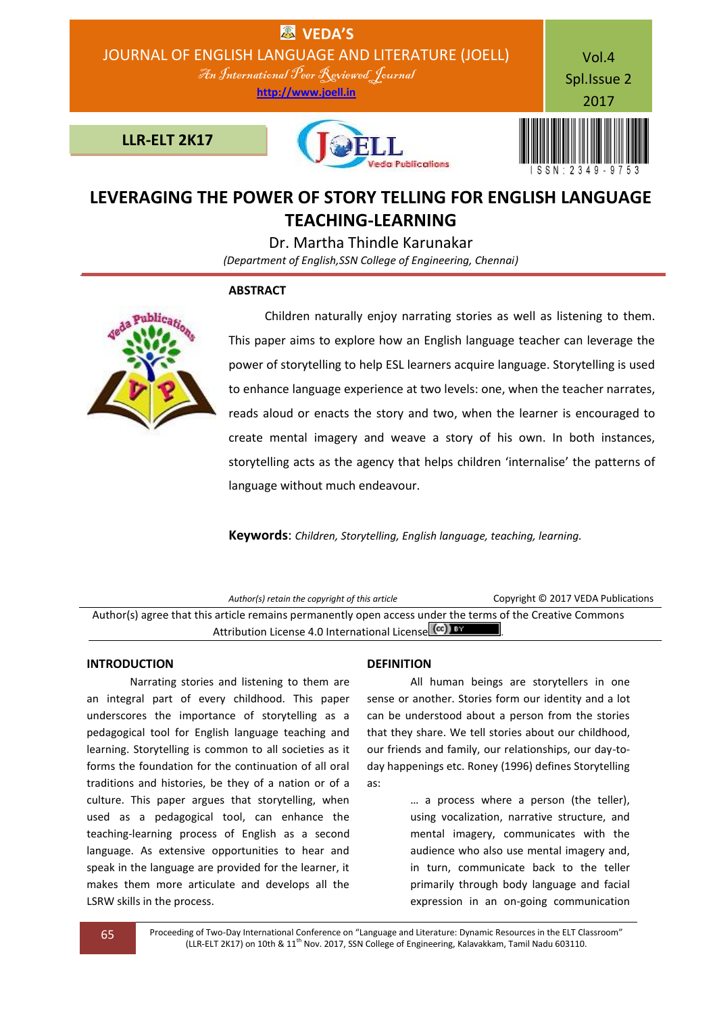

# **LEVERAGING THE POWER OF STORY TELLING FOR ENGLISH LANGUAGE TEACHING-LEARNING**

Dr. Martha Thindle Karunakar

*(Department of English,SSN College of Engineering, Chennai)*

# **ABSTRACT**



 Children naturally enjoy narrating stories as well as listening to them. This paper aims to explore how an English language teacher can leverage the power of storytelling to help ESL learners acquire language. Storytelling is used to enhance language experience at two levels: one, when the teacher narrates, reads aloud or enacts the story and two, when the learner is encouraged to create mental imagery and weave a story of his own. In both instances, storytelling acts as the agency that helps children 'internalise' the patterns of language without much endeavour.

**Keywords**: *Children, Storytelling, English language, teaching, learning.*

Author(s) retain the copyright of this article **Copyright C 2017 VEDA Publications** Author(s) agree that this article remains permanently open access under the terms of the Creative Commons Attribution License 4.0 International License (cc) BY

#### **INTRODUCTION**

Narrating stories and listening to them are an integral part of every childhood. This paper underscores the importance of storytelling as a pedagogical tool for English language teaching and learning. Storytelling is common to all societies as it forms the foundation for the continuation of all oral traditions and histories, be they of a nation or of a culture. This paper argues that storytelling, when used as a pedagogical tool, can enhance the teaching-learning process of English as a second language. As extensive opportunities to hear and speak in the language are provided for the learner, it makes them more articulate and develops all the LSRW skills in the process.

# **DEFINITION**

All human beings are storytellers in one sense or another. Stories form our identity and a lot can be understood about a person from the stories that they share. We tell stories about our childhood, our friends and family, our relationships, our day-today happenings etc. Roney (1996) defines Storytelling as:

> … a process where a person (the teller), using vocalization, narrative structure, and mental imagery, communicates with the audience who also use mental imagery and, in turn, communicate back to the teller primarily through body language and facial expression in an on-going communication

65 Proceeding of Two-Day International Conference on "Language and Literature: Dynamic Resources in the ELT Classroom" (LLR-ELT 2K17) on 10th & 11th Nov. 2017, SSN College of Engineering, Kalavakkam, Tamil Nadu 603110.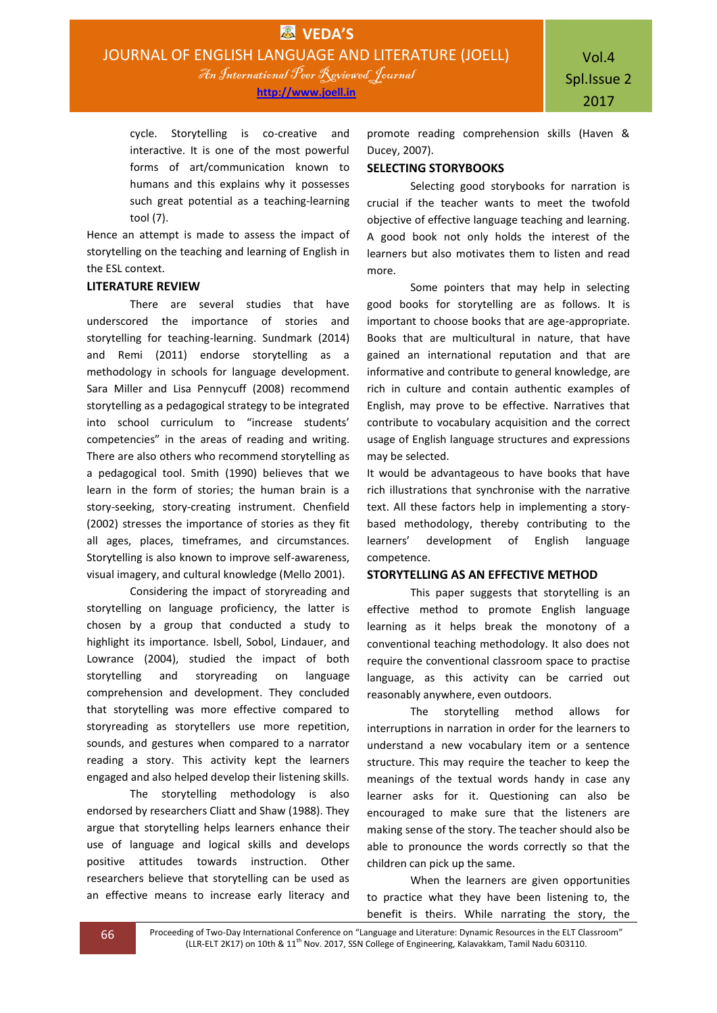cycle. Storytelling is co-creative and interactive. It is one of the most powerful forms of art/communication known to humans and this explains why it possesses such great potential as a teaching-learning tool (7).

Hence an attempt is made to assess the impact of storytelling on the teaching and learning of English in the ESL context.

#### **LITERATURE REVIEW**

There are several studies that have underscored the importance of stories and storytelling for teaching-learning. Sundmark (2014) and Remi (2011) endorse storytelling as a methodology in schools for language development. Sara Miller and Lisa Pennycuff (2008) recommend storytelling as a pedagogical strategy to be integrated into school curriculum to "increase students' competencies" in the areas of reading and writing. There are also others who recommend storytelling as a pedagogical tool. Smith (1990) believes that we learn in the form of stories; the human brain is a story-seeking, story-creating instrument. Chenfield (2002) stresses the importance of stories as they fit all ages, places, timeframes, and circumstances. Storytelling is also known to improve self-awareness, visual imagery, and cultural knowledge (Mello 2001).

Considering the impact of storyreading and storytelling on language proficiency, the latter is chosen by a group that conducted a study to highlight its importance. Isbell, Sobol, Lindauer, and Lowrance (2004), studied the impact of both storytelling and storyreading on language comprehension and development. They concluded that storytelling was more effective compared to storyreading as storytellers use more repetition, sounds, and gestures when compared to a narrator reading a story. This activity kept the learners engaged and also helped develop their listening skills.

The storytelling methodology is also endorsed by researchers Cliatt and Shaw (1988). They argue that storytelling helps learners enhance their use of language and logical skills and develops positive attitudes towards instruction. Other researchers believe that storytelling can be used as an effective means to increase early literacy and

promote reading comprehension skills (Haven & Ducey, 2007).

## **SELECTING STORYBOOKS**

Selecting good storybooks for narration is crucial if the teacher wants to meet the twofold objective of effective language teaching and learning. A good book not only holds the interest of the learners but also motivates them to listen and read more.

Some pointers that may help in selecting good books for storytelling are as follows. It is important to choose books that are age-appropriate. Books that are multicultural in nature, that have gained an international reputation and that are informative and contribute to general knowledge, are rich in culture and contain authentic examples of English, may prove to be effective. Narratives that contribute to vocabulary acquisition and the correct usage of English language structures and expressions may be selected.

It would be advantageous to have books that have rich illustrations that synchronise with the narrative text. All these factors help in implementing a storybased methodology, thereby contributing to the learners' development of English language competence.

### **STORYTELLING AS AN EFFECTIVE METHOD**

This paper suggests that storytelling is an effective method to promote English language learning as it helps break the monotony of a conventional teaching methodology. It also does not require the conventional classroom space to practise language, as this activity can be carried out reasonably anywhere, even outdoors.

The storytelling method allows for interruptions in narration in order for the learners to understand a new vocabulary item or a sentence structure. This may require the teacher to keep the meanings of the textual words handy in case any learner asks for it. Questioning can also be encouraged to make sure that the listeners are making sense of the story. The teacher should also be able to pronounce the words correctly so that the children can pick up the same.

When the learners are given opportunities to practice what they have been listening to, the benefit is theirs. While narrating the story, the

66 Proceeding of Two-Day International Conference on "Language and Literature: Dynamic Resources in the ELT Classroom" (LLR-ELT 2K17) on 10th & 11<sup>th</sup> Nov. 2017, SSN College of Engineering, Kalavakkam, Tamil Nadu 603110.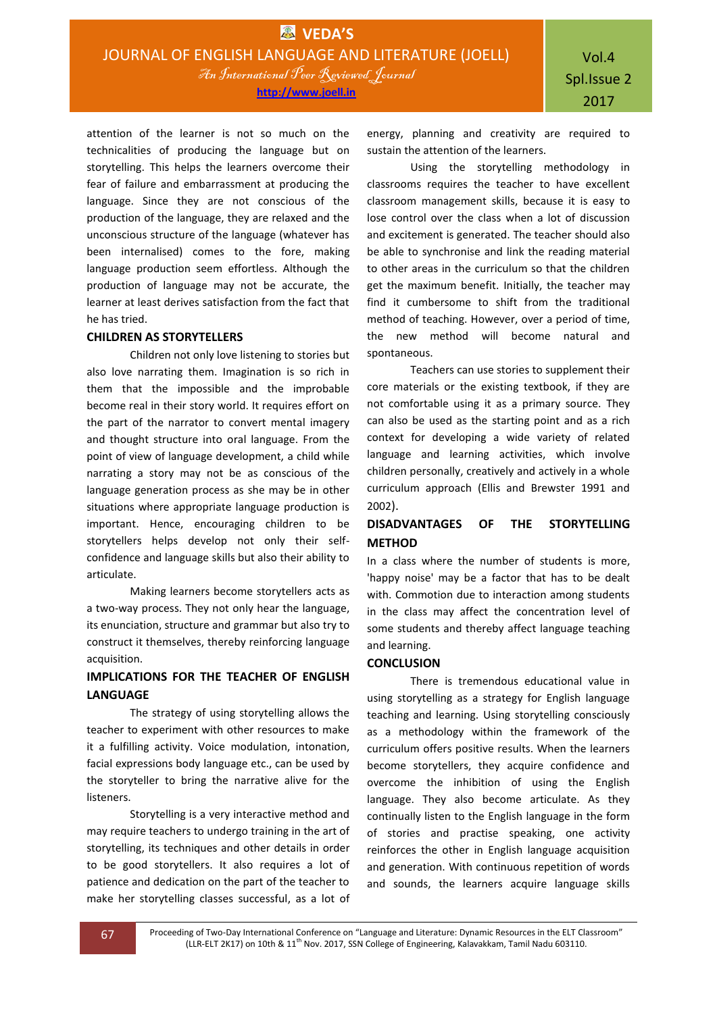attention of the learner is not so much on the technicalities of producing the language but on storytelling. This helps the learners overcome their fear of failure and embarrassment at producing the language. Since they are not conscious of the production of the language, they are relaxed and the unconscious structure of the language (whatever has been internalised) comes to the fore, making language production seem effortless. Although the production of language may not be accurate, the learner at least derives satisfaction from the fact that he has tried.

#### **CHILDREN AS STORYTELLERS**

Children not only love listening to stories but also love narrating them. Imagination is so rich in them that the impossible and the improbable become real in their story world. It requires effort on the part of the narrator to convert mental imagery and thought structure into oral language. From the point of view of language development, a child while narrating a story may not be as conscious of the language generation process as she may be in other situations where appropriate language production is important. Hence, encouraging children to be storytellers helps develop not only their selfconfidence and language skills but also their ability to articulate.

Making learners become storytellers acts as a two-way process. They not only hear the language, its enunciation, structure and grammar but also try to construct it themselves, thereby reinforcing language acquisition.

# **IMPLICATIONS FOR THE TEACHER OF ENGLISH LANGUAGE**

The strategy of using storytelling allows the teacher to experiment with other resources to make it a fulfilling activity. Voice modulation, intonation, facial expressions body language etc., can be used by the storyteller to bring the narrative alive for the listeners.

Storytelling is a very interactive method and may require teachers to undergo training in the art of storytelling, its techniques and other details in order to be good storytellers. It also requires a lot of patience and dedication on the part of the teacher to make her storytelling classes successful, as a lot of

energy, planning and creativity are required to sustain the attention of the learners.

Using the storytelling methodology in classrooms requires the teacher to have excellent classroom management skills, because it is easy to lose control over the class when a lot of discussion and excitement is generated. The teacher should also be able to synchronise and link the reading material to other areas in the curriculum so that the children get the maximum benefit. Initially, the teacher may find it cumbersome to shift from the traditional method of teaching. However, over a period of time, the new method will become natural and spontaneous.

Teachers can use stories to supplement their core materials or the existing textbook, if they are not comfortable using it as a primary source. They can also be used as the starting point and as a rich context for developing a wide variety of related language and learning activities, which involve children personally, creatively and actively in a whole curriculum approach (Ellis and Brewster 1991 and 2002).

# **DISADVANTAGES OF THE STORYTELLING METHOD**

In a class where the number of students is more, 'happy noise' may be a factor that has to be dealt with. Commotion due to interaction among students in the class may affect the concentration level of some students and thereby affect language teaching and learning.

#### **CONCLUSION**

There is tremendous educational value in using storytelling as a strategy for English language teaching and learning. Using storytelling consciously as a methodology within the framework of the curriculum offers positive results. When the learners become storytellers, they acquire confidence and overcome the inhibition of using the English language. They also become articulate. As they continually listen to the English language in the form of stories and practise speaking, one activity reinforces the other in English language acquisition and generation. With continuous repetition of words and sounds, the learners acquire language skills